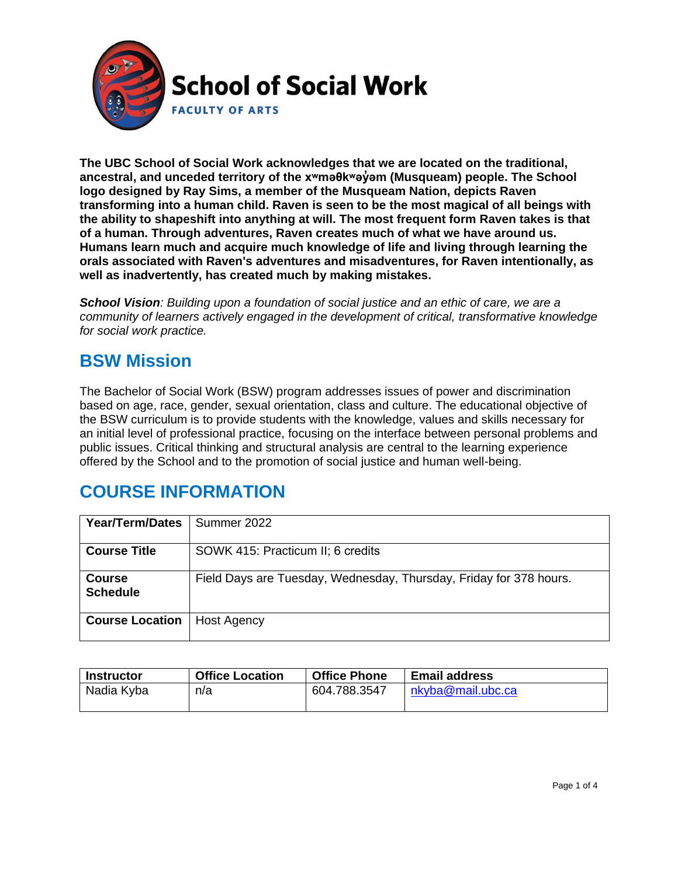

**The UBC School of Social Work acknowledges that we are located on the traditional, ancestral, and unceded territory of the [xʷməθkʷəy̓əm](http://www.musqueam.bc.ca/) (Musqueam) people. The School logo designed by Ray Sims, a member of the Musqueam Nation, depicts Raven transforming into a human child. Raven is seen to be the most magical of all beings with the ability to shapeshift into anything at will. The most frequent form Raven takes is that of a human. Through adventures, Raven creates much of what we have around us. Humans learn much and acquire much knowledge of life and living through learning the orals associated with Raven's adventures and misadventures, for Raven intentionally, as well as inadvertently, has created much by making mistakes.**

*School Vision: Building upon a foundation of social justice and an ethic of care, we are a community of learners actively engaged in the development of critical, transformative knowledge for social work practice.*

### **BSW Mission**

The Bachelor of Social Work (BSW) program addresses issues of power and discrimination based on age, race, gender, sexual orientation, class and culture. The educational objective of the BSW curriculum is to provide students with the knowledge, values and skills necessary for an initial level of professional practice, focusing on the interface between personal problems and public issues. Critical thinking and structural analysis are central to the learning experience offered by the School and to the promotion of social justice and human well-being.

# **COURSE INFORMATION**

| <b>Year/Term/Dates</b> | Summer 2022                                                        |  |  |
|------------------------|--------------------------------------------------------------------|--|--|
|                        |                                                                    |  |  |
| <b>Course Title</b>    | SOWK 415: Practicum II; 6 credits                                  |  |  |
|                        |                                                                    |  |  |
| <b>Course</b>          | Field Days are Tuesday, Wednesday, Thursday, Friday for 378 hours. |  |  |
| <b>Schedule</b>        |                                                                    |  |  |
|                        |                                                                    |  |  |
|                        |                                                                    |  |  |
| <b>Course Location</b> | Host Agency                                                        |  |  |
|                        |                                                                    |  |  |

| <b>Instructor</b> | <b>Office Location</b> | <b>Office Phone</b> | <b>Email address</b> |
|-------------------|------------------------|---------------------|----------------------|
| Nadia Kyba        | n/a                    | 604.788.3547        | nkyba@mail.ubc.ca    |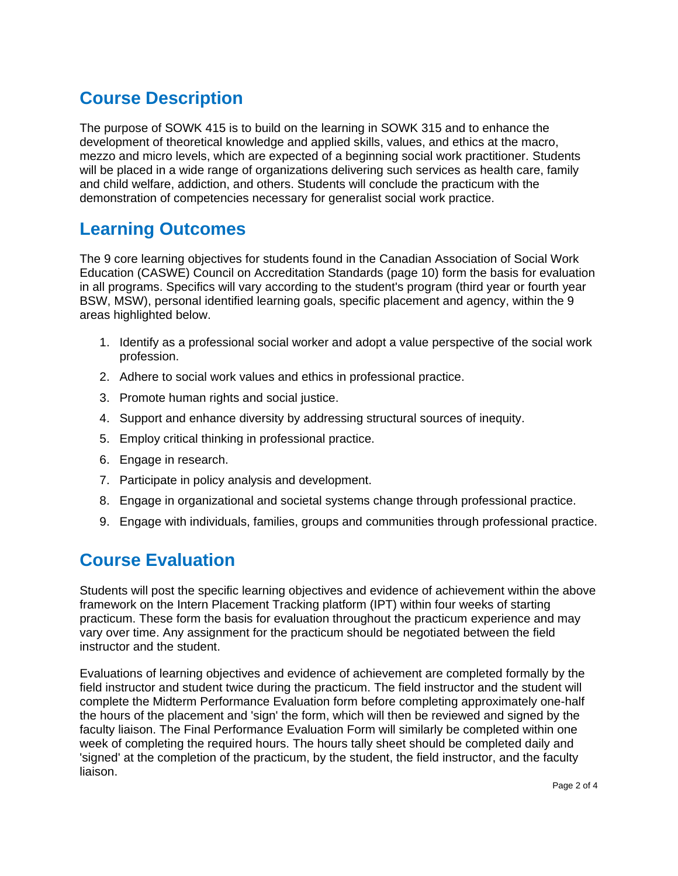# **Course Description**

The purpose of SOWK 415 is to build on the learning in SOWK 315 and to enhance the development of theoretical knowledge and applied skills, values, and ethics at the macro, mezzo and micro levels, which are expected of a beginning social work practitioner. Students will be placed in a wide range of organizations delivering such services as health care, family and child welfare, addiction, and others. Students will conclude the practicum with the demonstration of competencies necessary for generalist social work practice.

# **Learning Outcomes**

The 9 core learning objectives for students found in the Canadian Association of Social Work Education (CASWE) Council on Accreditation Standards (page 10) form the basis for evaluation in all programs. Specifics will vary according to the student's program (third year or fourth year BSW, MSW), personal identified learning goals, specific placement and agency, within the 9 areas highlighted below.

- 1. Identify as a professional social worker and adopt a value perspective of the social work profession.
- 2. Adhere to social work values and ethics in professional practice.
- 3. Promote human rights and social justice.
- 4. Support and enhance diversity by addressing structural sources of inequity.
- 5. Employ critical thinking in professional practice.
- 6. Engage in research.
- 7. Participate in policy analysis and development.
- 8. Engage in organizational and societal systems change through professional practice.
- 9. Engage with individuals, families, groups and communities through professional practice.

# **Course Evaluation**

Students will post the specific learning objectives and evidence of achievement within the above framework on the Intern Placement Tracking platform (IPT) within four weeks of starting practicum. These form the basis for evaluation throughout the practicum experience and may vary over time. Any assignment for the practicum should be negotiated between the field instructor and the student.

Evaluations of learning objectives and evidence of achievement are completed formally by the field instructor and student twice during the practicum. The field instructor and the student will complete the Midterm Performance Evaluation form before completing approximately one-half the hours of the placement and 'sign' the form, which will then be reviewed and signed by the faculty liaison. The Final Performance Evaluation Form will similarly be completed within one week of completing the required hours. The hours tally sheet should be completed daily and 'signed' at the completion of the practicum, by the student, the field instructor, and the faculty liaison.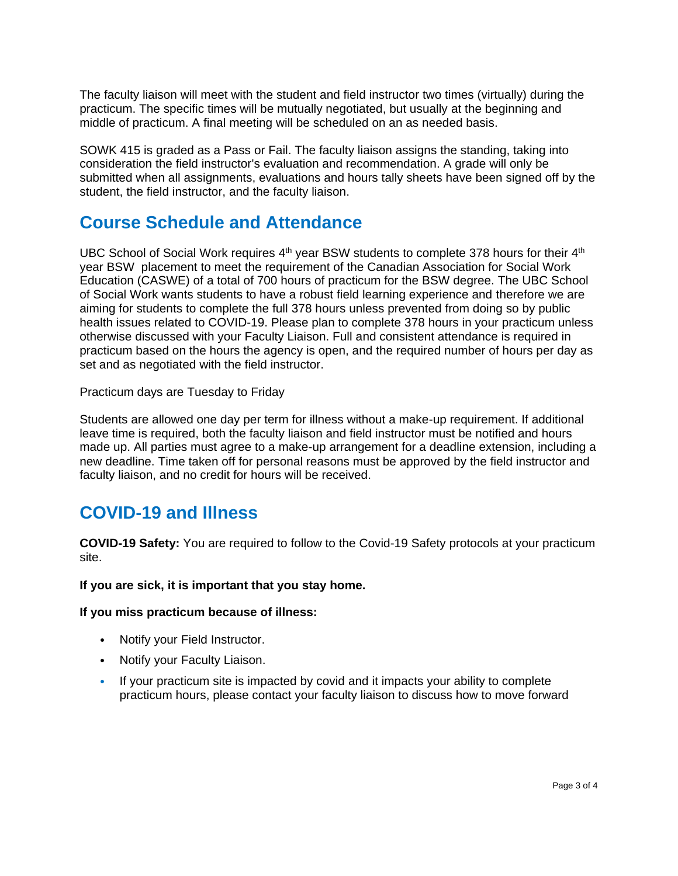The faculty liaison will meet with the student and field instructor two times (virtually) during the practicum. The specific times will be mutually negotiated, but usually at the beginning and middle of practicum. A final meeting will be scheduled on an as needed basis.

SOWK 415 is graded as a Pass or Fail. The faculty liaison assigns the standing, taking into consideration the field instructor's evaluation and recommendation. A grade will only be submitted when all assignments, evaluations and hours tally sheets have been signed off by the student, the field instructor, and the faculty liaison.

### **Course Schedule and Attendance**

UBC School of Social Work requires  $4<sup>th</sup>$  year BSW students to complete 378 hours for their  $4<sup>th</sup>$ year BSW placement to meet the requirement of the Canadian Association for Social Work Education (CASWE) of a total of 700 hours of practicum for the BSW degree. The UBC School of Social Work wants students to have a robust field learning experience and therefore we are aiming for students to complete the full 378 hours unless prevented from doing so by public health issues related to COVID-19. Please plan to complete 378 hours in your practicum unless otherwise discussed with your Faculty Liaison. Full and consistent attendance is required in practicum based on the hours the agency is open, and the required number of hours per day as set and as negotiated with the field instructor.

Practicum days are Tuesday to Friday

Students are allowed one day per term for illness without a make-up requirement. If additional leave time is required, both the faculty liaison and field instructor must be notified and hours made up. All parties must agree to a make-up arrangement for a deadline extension, including a new deadline. Time taken off for personal reasons must be approved by the field instructor and faculty liaison, and no credit for hours will be received.

# **COVID-19 and Illness**

**COVID-19 Safety:** You are required to follow to the Covid-19 Safety protocols at your practicum site.

#### **If you are sick, it is important that you stay home.**

**If you miss practicum because of illness:**

- Notify your Field Instructor.
- Notify your Faculty Liaison.
- If your practicum site is impacted by covid and it impacts your ability to complete practicum hours, please contact your faculty liaison to discuss how to move forward